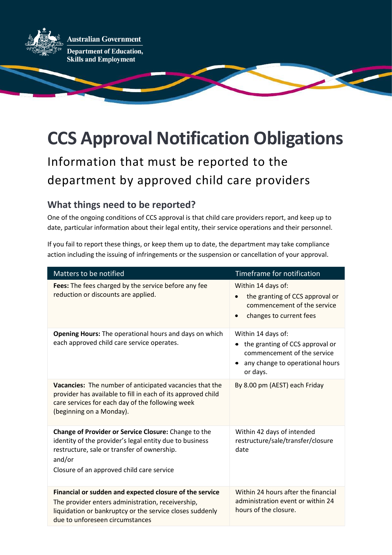

# **CCS Approval Notification Obligations**

Information that must be reported to the department by approved child care providers

## **What things need to be reported?**

One of the ongoing conditions of CCS approval is that child care providers report, and keep up to date, particular information about their legal entity, their service operations and their personnel.

If you fail to report these things, or keep them up to date, the department may take compliance action including the issuing of infringements or the suspension or cancellation of your approval.

| Matters to be notified                                                                                                                                                                                                | Timeframe for notification                                                                                                                    |
|-----------------------------------------------------------------------------------------------------------------------------------------------------------------------------------------------------------------------|-----------------------------------------------------------------------------------------------------------------------------------------------|
| Fees: The fees charged by the service before any fee<br>reduction or discounts are applied.                                                                                                                           | Within 14 days of:<br>the granting of CCS approval or<br>$\bullet$<br>commencement of the service<br>changes to current fees<br>$\bullet$     |
| Opening Hours: The operational hours and days on which<br>each approved child care service operates.                                                                                                                  | Within 14 days of:<br>the granting of CCS approval or<br>٠<br>commencement of the service<br>any change to operational hours<br>٠<br>or days. |
| Vacancies: The number of anticipated vacancies that the<br>provider has available to fill in each of its approved child<br>care services for each day of the following week<br>(beginning on a Monday).               | By 8.00 pm (AEST) each Friday                                                                                                                 |
| Change of Provider or Service Closure: Change to the<br>identity of the provider's legal entity due to business<br>restructure, sale or transfer of ownership.<br>and/or<br>Closure of an approved child care service | Within 42 days of intended<br>restructure/sale/transfer/closure<br>date                                                                       |
| Financial or sudden and expected closure of the service<br>The provider enters administration, receivership,<br>liquidation or bankruptcy or the service closes suddenly<br>due to unforeseen circumstances           | Within 24 hours after the financial<br>administration event or within 24<br>hours of the closure.                                             |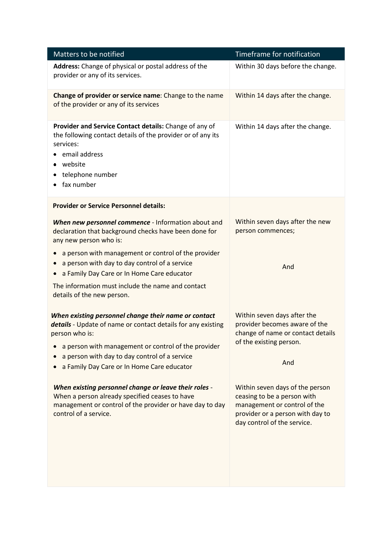| Matters to be notified                                                                                                                                                                                | Timeframe for notification                                                                                                                                        |
|-------------------------------------------------------------------------------------------------------------------------------------------------------------------------------------------------------|-------------------------------------------------------------------------------------------------------------------------------------------------------------------|
| Address: Change of physical or postal address of the<br>provider or any of its services.                                                                                                              | Within 30 days before the change.                                                                                                                                 |
| Change of provider or service name: Change to the name<br>of the provider or any of its services                                                                                                      | Within 14 days after the change.                                                                                                                                  |
| Provider and Service Contact details: Change of any of<br>the following contact details of the provider or of any its<br>services:<br>email address<br>website<br>telephone number<br>fax number<br>٠ | Within 14 days after the change.                                                                                                                                  |
| <b>Provider or Service Personnel details:</b>                                                                                                                                                         |                                                                                                                                                                   |
| When new personnel commence - Information about and<br>declaration that background checks have been done for<br>any new person who is:                                                                | Within seven days after the new<br>person commences;                                                                                                              |
| a person with management or control of the provider                                                                                                                                                   |                                                                                                                                                                   |
| a person with day to day control of a service<br>a Family Day Care or In Home Care educator                                                                                                           | And                                                                                                                                                               |
| The information must include the name and contact<br>details of the new person.                                                                                                                       |                                                                                                                                                                   |
| When existing personnel change their name or contact<br>details - Update of name or contact details for any existing<br>person who is:<br>a person with management or control of the provider         | Within seven days after the<br>provider becomes aware of the<br>change of name or contact details<br>of the existing person.                                      |
| a person with day to day control of a service                                                                                                                                                         |                                                                                                                                                                   |
| a Family Day Care or In Home Care educator                                                                                                                                                            | And                                                                                                                                                               |
| When existing personnel change or leave their roles -<br>When a person already specified ceases to have<br>management or control of the provider or have day to day<br>control of a service.          | Within seven days of the person<br>ceasing to be a person with<br>management or control of the<br>provider or a person with day to<br>day control of the service. |
|                                                                                                                                                                                                       |                                                                                                                                                                   |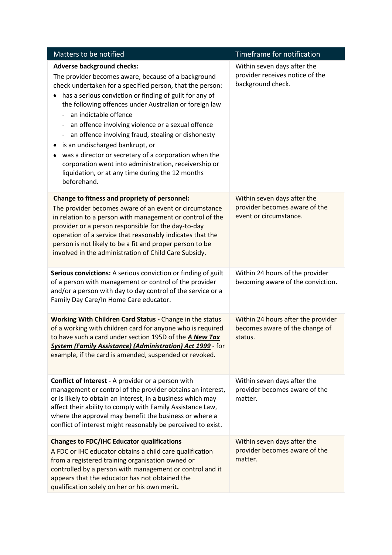| Matters to be notified                                                                                                                                                                                                                                                                                                                                                                                                                                                                                                                                                                                                                                                                                | Timeframe for notification                                                             |
|-------------------------------------------------------------------------------------------------------------------------------------------------------------------------------------------------------------------------------------------------------------------------------------------------------------------------------------------------------------------------------------------------------------------------------------------------------------------------------------------------------------------------------------------------------------------------------------------------------------------------------------------------------------------------------------------------------|----------------------------------------------------------------------------------------|
| <b>Adverse background checks:</b><br>The provider becomes aware, because of a background<br>check undertaken for a specified person, that the person:<br>has a serious conviction or finding of guilt for any of<br>the following offences under Australian or foreign law<br>an indictable offence<br>an offence involving violence or a sexual offence<br>$\qquad \qquad \blacksquare$<br>an offence involving fraud, stealing or dishonesty<br>$\qquad \qquad -$<br>is an undischarged bankrupt, or<br>٠<br>was a director or secretary of a corporation when the<br>٠<br>corporation went into administration, receivership or<br>liquidation, or at any time during the 12 months<br>beforehand. | Within seven days after the<br>provider receives notice of the<br>background check.    |
| Change to fitness and propriety of personnel:<br>The provider becomes aware of an event or circumstance<br>in relation to a person with management or control of the<br>provider or a person responsible for the day-to-day<br>operation of a service that reasonably indicates that the<br>person is not likely to be a fit and proper person to be<br>involved in the administration of Child Care Subsidy.                                                                                                                                                                                                                                                                                         | Within seven days after the<br>provider becomes aware of the<br>event or circumstance. |
| Serious convictions: A serious conviction or finding of guilt<br>of a person with management or control of the provider<br>and/or a person with day to day control of the service or a<br>Family Day Care/In Home Care educator.                                                                                                                                                                                                                                                                                                                                                                                                                                                                      | Within 24 hours of the provider<br>becoming aware of the conviction.                   |
| Working With Children Card Status - Change in the status<br>of a working with children card for anyone who is required<br>to have such a card under section 195D of the A New Tax<br><b>System (Family Assistance) (Administration) Act 1999</b> - for<br>example, if the card is amended, suspended or revoked.                                                                                                                                                                                                                                                                                                                                                                                      | Within 24 hours after the provider<br>becomes aware of the change of<br>status.        |
| <b>Conflict of Interest - A provider or a person with</b><br>management or control of the provider obtains an interest,<br>or is likely to obtain an interest, in a business which may<br>affect their ability to comply with Family Assistance Law,<br>where the approval may benefit the business or where a<br>conflict of interest might reasonably be perceived to exist.                                                                                                                                                                                                                                                                                                                        | Within seven days after the<br>provider becomes aware of the<br>matter.                |
| <b>Changes to FDC/IHC Educator qualifications</b><br>A FDC or IHC educator obtains a child care qualification<br>from a registered training organisation owned or<br>controlled by a person with management or control and it<br>appears that the educator has not obtained the<br>qualification solely on her or his own merit.                                                                                                                                                                                                                                                                                                                                                                      | Within seven days after the<br>provider becomes aware of the<br>matter.                |